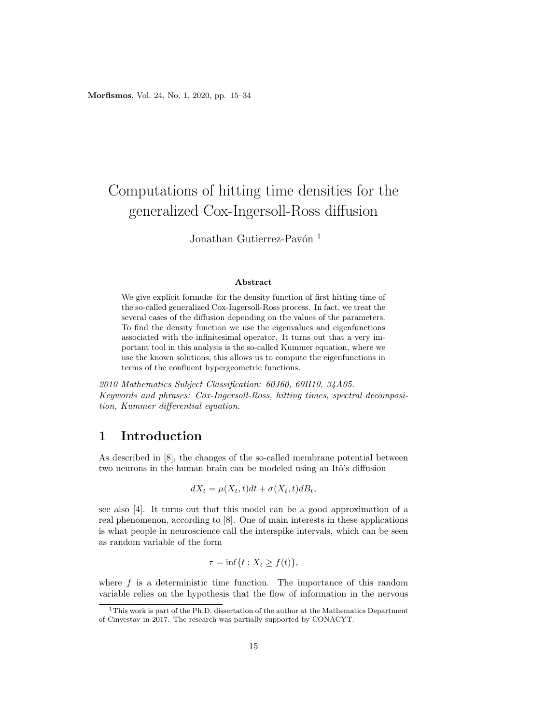# Computations of hitting time densities for the generalized Cox-Ingersoll-Ross diffusion

Jonathan Gutierrez-Pavón<sup>1</sup>

#### Abstract

We give explicit formulæ for the density function of first hitting time of the so-called generalized Cox-Ingersoll-Ross process. In fact, we treat the several cases of the diffusion depending on the values of the parameters. To find the density function we use the eigenvalues and eigenfunctions associated with the infinitesimal operator. It turns out that a very important tool in this analysis is the so-called Kummer equation, where we use the known solutions; this allows us to compute the eigenfunctions in terms of the confluent hypergeometric functions.

2010 Mathematics Subject Classification: 60J60, 60H10, 34A05. Keywords and phrases: Cox-Ingersoll-Ross, hitting times, spectral decomposition, Kummer differential equation.

### 1 Introduction

As described in [8], the changes of the so-called membrane potential between two neurons in the human brain can be modeled using an Itô's diffusion

$$
dX_t = \mu(X_t, t)dt + \sigma(X_t, t)dB_t,
$$

see also [4]. It turns out that this model can be a good approximation of a real phenomenon, according to [8]. One of main interests in these applications is what people in neuroscience call the interspike intervals, which can be seen as random variable of the form

$$
\tau = \inf\{t : X_t \ge f(t)\},\
$$

where  $f$  is a deterministic time function. The importance of this random variable relies on the hypothesis that the flow of information in the nervous

<sup>1</sup>This work is part of the Ph.D. dissertation of the author at the Mathematics Department of Cinvestav in 2017. The research was partially supported by CONACYT.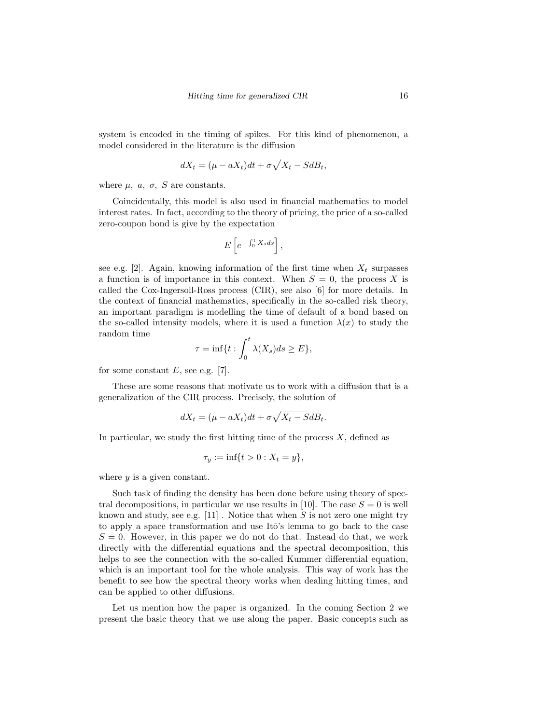system is encoded in the timing of spikes. For this kind of phenomenon, a model considered in the literature is the diffusion

$$
dX_t = (\mu - aX_t)dt + \sigma \sqrt{X_t - S}dB_t,
$$

where  $\mu$ ,  $a$ ,  $\sigma$ ,  $S$  are constants.

Coincidentally, this model is also used in financial mathematics to model interest rates. In fact, according to the theory of pricing, the price of a so-called zero-coupon bond is give by the expectation

$$
E\left[e^{-\int_0^t X_s ds}\right],
$$

see e.g. [2]. Again, knowing information of the first time when  $X_t$  surpasses a function is of importance in this context. When  $S = 0$ , the process X is called the Cox-Ingersoll-Ross process (CIR), see also [6] for more details. In the context of financial mathematics, specifically in the so-called risk theory, an important paradigm is modelling the time of default of a bond based on the so-called intensity models, where it is used a function  $\lambda(x)$  to study the random time

$$
\tau = \inf\{t : \int_0^t \lambda(X_s)ds \ge E\},\
$$

for some constant  $E$ , see e.g. [7].

These are some reasons that motivate us to work with a diffusion that is a generalization of the CIR process. Precisely, the solution of

$$
dX_t = (\mu - aX_t)dt + \sigma \sqrt{X_t - S}dB_t.
$$

In particular, we study the first hitting time of the process  $X$ , defined as

$$
\tau_y := \inf\{t > 0 : X_t = y\},\
$$

where  $y$  is a given constant.

Such task of finding the density has been done before using theory of spectral decompositions, in particular we use results in [10]. The case  $S = 0$  is well known and study, see e.g. [11]. Notice that when S is not zero one might try to apply a space transformation and use Itô's lemma to go back to the case  $S = 0$ . However, in this paper we do not do that. Instead do that, we work directly with the differential equations and the spectral decomposition, this helps to see the connection with the so-called Kummer differential equation, which is an important tool for the whole analysis. This way of work has the benefit to see how the spectral theory works when dealing hitting times, and can be applied to other diffusions.

Let us mention how the paper is organized. In the coming Section 2 we present the basic theory that we use along the paper. Basic concepts such as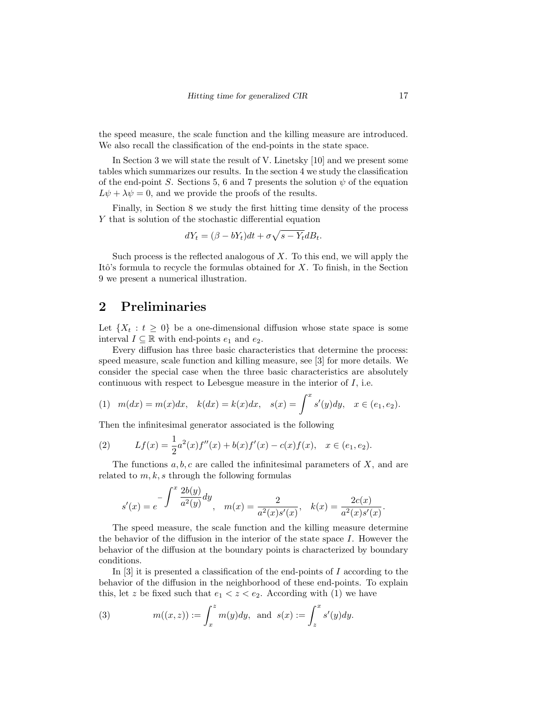the speed measure, the scale function and the killing measure are introduced. We also recall the classification of the end-points in the state space.

In Section 3 we will state the result of V. Linetsky [10] and we present some tables which summarizes our results. In the section 4 we study the classification of the end-point S. Sections 5, 6 and 7 presents the solution  $\psi$  of the equation  $L\psi + \lambda \psi = 0$ , and we provide the proofs of the results.

Finally, in Section 8 we study the first hitting time density of the process Y that is solution of the stochastic differential equation

$$
dY_t = (\beta - bY_t)dt + \sigma \sqrt{s - Y_t}dB_t.
$$

Such process is the reflected analogous of  $X$ . To this end, we will apply the Itô's formula to recycle the formulas obtained for  $X$ . To finish, in the Section 9 we present a numerical illustration.

#### 2 Preliminaries

Let  $\{X_t : t \geq 0\}$  be a one-dimensional diffusion whose state space is some interval  $I \subseteq \mathbb{R}$  with end-points  $e_1$  and  $e_2$ .

Every diffusion has three basic characteristics that determine the process: speed measure, scale function and killing measure, see [3] for more details. We consider the special case when the three basic characteristics are absolutely continuous with respect to Lebesgue measure in the interior of  $I$ , i.e.

(1) 
$$
m(dx) = m(x)dx
$$
,  $k(dx) = k(x)dx$ ,  $s(x) = \int^x s'(y)dy$ ,  $x \in (e_1, e_2)$ .

Then the infinitesimal generator associated is the following

(2) 
$$
Lf(x) = \frac{1}{2}a^2(x)f''(x) + b(x)f'(x) - c(x)f(x), \quad x \in (e_1, e_2).
$$

The functions  $a, b, c$  are called the infinitesimal parameters of  $X$ , and are related to  $m, k, s$  through the following formulas

$$
s'(x) = e^{-\int^x \frac{2b(y)}{a^2(y)}dy}, \quad m(x) = \frac{2}{a^2(x)s'(x)}, \quad k(x) = \frac{2c(x)}{a^2(x)s'(x)}.
$$

The speed measure, the scale function and the killing measure determine the behavior of the diffusion in the interior of the state space I. However the behavior of the diffusion at the boundary points is characterized by boundary conditions.

In  $[3]$  it is presented a classification of the end-points of I according to the behavior of the diffusion in the neighborhood of these end-points. To explain this, let z be fixed such that  $e_1 < z < e_2$ . According with (1) we have

(3) 
$$
m((x, z)) := \int_x^z m(y) dy
$$
, and  $s(x) := \int_z^x s'(y) dy$ .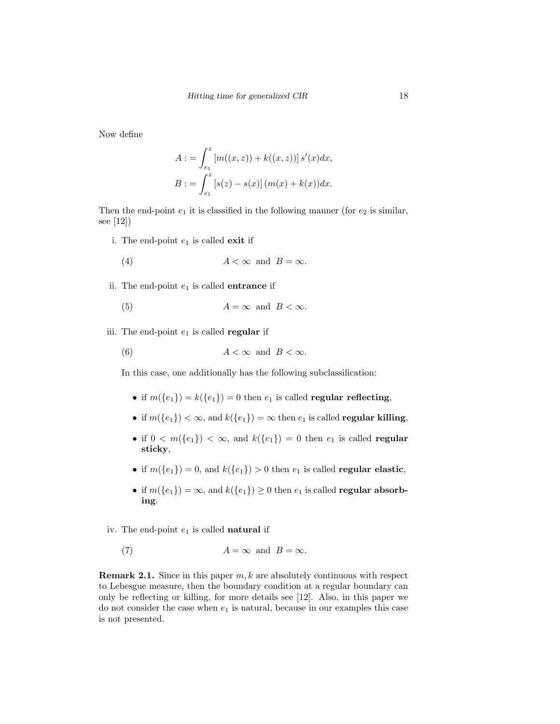Now define

$$
A := \int_{e_1}^{z} [m((x, z)) + k((x, z))] s'(x) dx,
$$
  

$$
B := \int_{e_1}^{z} [s(z) - s(x)] (m(x) + k(x)) dx.
$$

Then the end-point  $e_1$  it is classified in the following manner (for  $e_2$  is similar, see [12])

i. The end-point  $e_1$  is called **exit** if

$$
(4) \t\t\t A < \infty \t and B = \infty.
$$

ii. The end-point  $e_1$  is called **entrance** if

(5) 
$$
A = \infty \text{ and } B < \infty.
$$

iii. The end-point  $e_1$  is called **regular** if

(6) 
$$
A < \infty \text{ and } B < \infty.
$$

In this case, one additionally has the following subclassification:

- if  $m({e_1}) = k({e_1}) = 0$  then  $e_1$  is called **regular reflecting**,
- if  $m({e_1}) < \infty$ , and  $k({e_1}) = \infty$  then  $e_1$  is called **regular killing**,
- if  $0 < m({e_1}) < \infty$ , and  $k({e_1}) = 0$  then  $e_1$  is called regular sticky,
- if  $m({e_1}) = 0$ , and  $k({e_1}) > 0$  then  $e_1$  is called **regular elastic**,
- if  $m({e_1}) = \infty$ , and  $k({e_1}) \geq 0$  then  $e_1$  is called **regular absorb**ing.
- iv. The end-point  $e_1$  is called **natural** if

(7) 
$$
A = \infty \text{ and } B = \infty.
$$

**Remark 2.1.** Since in this paper  $m, k$  are absolutely continuous with respect to Lebesgue measure, then the boundary condition at a regular boundary can only be reflecting or killing, for more details see [12]. Also, in this paper we do not consider the case when  $e_1$  is natural, because in our examples this case is not presented.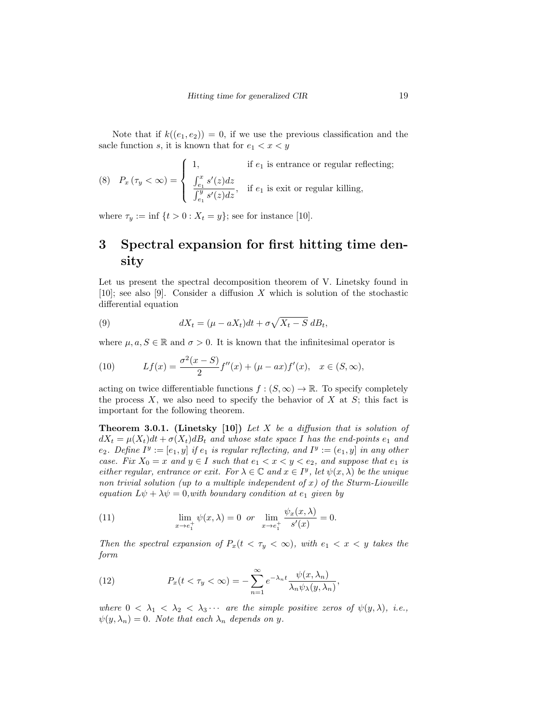Note that if  $k((e_1, e_2)) = 0$ , if we use the previous classification and the sacle function s, it is known that for  $e_1 < x < y$ 

(8) 
$$
P_x(\tau_y < \infty) = \begin{cases} 1, & \text{if } e_1 \text{ is entrance or regular reflecting;} \\ \frac{\int_{e_1}^x s'(z) dz}{\int_{e_1}^y s'(z) dz}, & \text{if } e_1 \text{ is exit or regular killing,} \end{cases}
$$

where  $\tau_y := \inf \{ t > 0 : X_t = y \}$ ; see for instance [10].

### 3 Spectral expansion for first hitting time density

Let us present the spectral decomposition theorem of V. Linetsky found in [10]; see also [9]. Consider a diffusion X which is solution of the stochastic differential equation

(9) 
$$
dX_t = (\mu - aX_t)dt + \sigma \sqrt{X_t - S} dB_t,
$$

where  $\mu, a, S \in \mathbb{R}$  and  $\sigma > 0$ . It is known that the infinitesimal operator is

(10) 
$$
Lf(x) = \frac{\sigma^2(x - S)}{2} f''(x) + (\mu - ax) f'(x), \quad x \in (S, \infty),
$$

acting on twice differentiable functions  $f : (S, \infty) \to \mathbb{R}$ . To specify completely the process  $X$ , we also need to specify the behavior of  $X$  at  $S$ ; this fact is important for the following theorem.

**Theorem 3.0.1.** (Linetsky [10]) Let X be a diffusion that is solution of  $dX_t = \mu(X_t)dt + \sigma(X_t)dB_t$  and whose state space I has the end-points  $e_1$  and  $e_2$ . Define  $I^y := [e_1, y]$  if  $e_1$  is regular reflecting, and  $I^y := (e_1, y]$  in any other case. Fix  $X_0 = x$  and  $y \in I$  such that  $e_1 < x < y < e_2$ , and suppose that  $e_1$  is either regular, entrance or exit. For  $\lambda \in \mathbb{C}$  and  $x \in I^y$ , let  $\psi(x, \lambda)$  be the unique non trivial solution (up to a multiple independent of  $x$ ) of the Sturm-Liouville equation  $L\psi + \lambda \psi = 0$ , with boundary condition at  $e_1$  given by

(11) 
$$
\lim_{x \to e_1^+} \psi(x, \lambda) = 0 \text{ or } \lim_{x \to e_1^+} \frac{\psi_x(x, \lambda)}{s'(x)} = 0.
$$

Then the spectral expansion of  $P_x(t < \tau_y < \infty)$ , with  $e_1 < x < y$  takes the form

(12) 
$$
P_x(t < \tau_y < \infty) = -\sum_{n=1}^{\infty} e^{-\lambda_n t} \frac{\psi(x, \lambda_n)}{\lambda_n \psi_{\lambda}(y, \lambda_n)},
$$

where  $0 < \lambda_1 < \lambda_2 < \lambda_3 \cdots$  are the simple positive zeros of  $\psi(y, \lambda)$ , i.e.,  $\psi(y, \lambda_n) = 0$ . Note that each  $\lambda_n$  depends on y.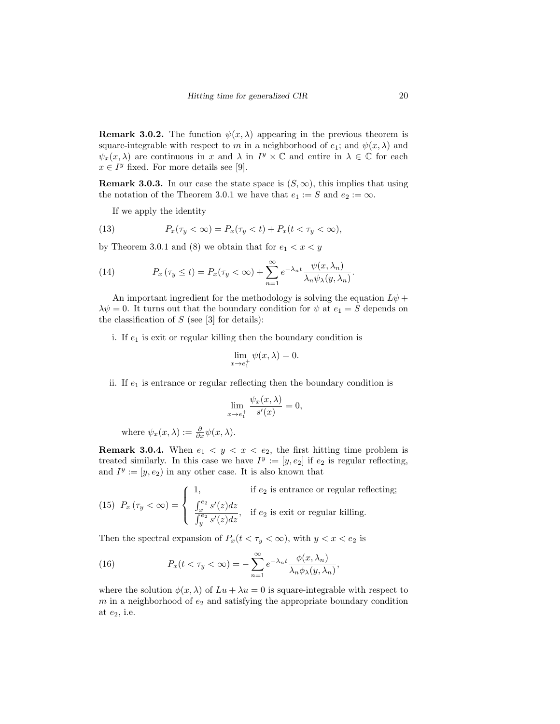**Remark 3.0.2.** The function  $\psi(x, \lambda)$  appearing in the previous theorem is square-integrable with respect to m in a neighborhood of  $e_1$ ; and  $\psi(x, \lambda)$  and  $\psi_x(x,\lambda)$  are continuous in x and  $\lambda$  in  $I^y \times \mathbb{C}$  and entire in  $\lambda \in \mathbb{C}$  for each  $x \in I^y$  fixed. For more details see [9].

**Remark 3.0.3.** In our case the state space is  $(S, \infty)$ , this implies that using the notation of the Theorem 3.0.1 we have that  $e_1 := S$  and  $e_2 := \infty$ .

If we apply the identity

(13) 
$$
P_x(\tau_y < \infty) = P_x(\tau_y < t) + P_x(t < \tau_y < \infty),
$$

by Theorem 3.0.1 and (8) we obtain that for  $e_1 < x < y$ 

(14) 
$$
P_x(\tau_y \le t) = P_x(\tau_y < \infty) + \sum_{n=1}^{\infty} e^{-\lambda_n t} \frac{\psi(x, \lambda_n)}{\lambda_n \psi_{\lambda}(y, \lambda_n)}.
$$

An important ingredient for the methodology is solving the equation  $L\psi$  +  $\lambda \psi = 0$ . It turns out that the boundary condition for  $\psi$  at  $e_1 = S$  depends on the classification of  $S$  (see [3] for details):

i. If  $e_1$  is exit or regular killing then the boundary condition is

$$
\lim_{x \to e_1^+} \psi(x, \lambda) = 0.
$$

ii. If  $e_1$  is entrance or regular reflecting then the boundary condition is

$$
\lim_{x \to e_1^+} \frac{\psi_x(x,\lambda)}{s'(x)} = 0,
$$

where  $\psi_x(x,\lambda) := \frac{\partial}{\partial x}\psi(x,\lambda)$ .

**Remark 3.0.4.** When  $e_1 < y < x < e_2$ , the first hitting time problem is treated similarly. In this case we have  $I^y := [y, e_2]$  if  $e_2$  is regular reflecting, and  $I^y := [y, e_2)$  in any other case. It is also known that

(15) 
$$
P_x(\tau_y < \infty) = \begin{cases} 1, & \text{if } e_2 \text{ is entrance or regular reflecting;} \\ \frac{\int_x^{e_2} s'(z) dz}{\int_y^{e_2} s'(z) dz}, & \text{if } e_2 \text{ is exit or regular killing.} \end{cases}
$$

Then the spectral expansion of  $P_x(t < \tau_y < \infty)$ , with  $y < x < e_2$  is

(16) 
$$
P_x(t < \tau_y < \infty) = -\sum_{n=1}^{\infty} e^{-\lambda_n t} \frac{\phi(x, \lambda_n)}{\lambda_n \phi_\lambda(y, \lambda_n)},
$$

where the solution  $\phi(x, \lambda)$  of  $Lu + \lambda u = 0$  is square-integrable with respect to  $m$  in a neighborhood of  $e_2$  and satisfying the appropriate boundary condition at  $e_2$ , i.e.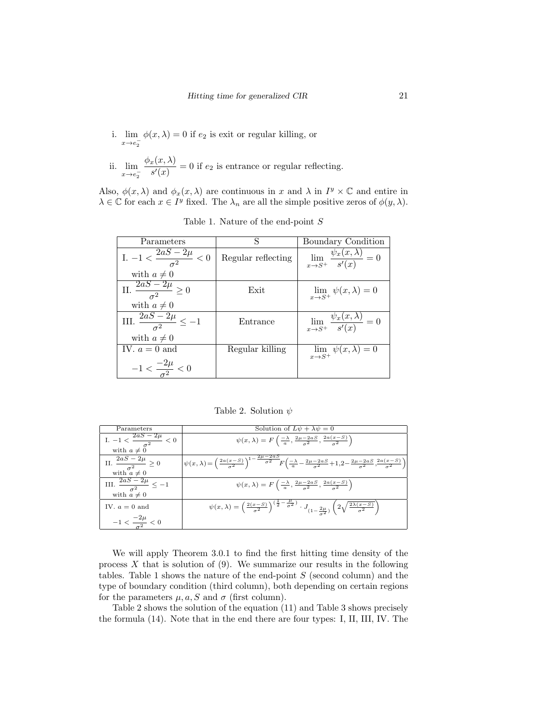- i.  $\lim_{x \to e_2^-}$  $\phi(x, \lambda) = 0$  if  $e_2$  is exit or regular killing, or
- ii.  $\lim_{x \to e_2^-}$  $\phi_x(x,\lambda)$  $\frac{\partial f(x)}{\partial s'(x)}$  = 0 if  $e_2$  is entrance or regular reflecting.

Also,  $\phi(x, \lambda)$  and  $\phi_x(x, \lambda)$  are continuous in x and  $\lambda$  in  $I^y \times \mathbb{C}$  and entire in  $\lambda \in \mathbb{C}$  for each  $x \in I^y$  fixed. The  $\lambda_n$  are all the simple positive zeros of  $\phi(y, \lambda)$ .

| Parameters                                | S                  | Boundary Condition                                            |
|-------------------------------------------|--------------------|---------------------------------------------------------------|
| I. $-1 < \frac{2aS - 2\mu}{\sigma^2} < 0$ | Regular reflecting | $\lim_{x\to S^+}\frac{\psi_x(x,\overline{\lambda})}{s'(x)}=0$ |
| with $a \neq 0$                           |                    |                                                               |
| II. $\frac{2aS-2\mu}{\sigma^2}\geq 0$     | Exit               | $\lim_{x\to S^+}\psi(x,\lambda)=0$                            |
| with $a \neq 0$                           |                    |                                                               |
| III. $\frac{2aS-2\mu}{\sigma^2} \leq -1$  | Entrance           | $\lim_{x\to S^+}\frac{\psi_x(x,\lambda)}{s'(x)}=0$            |
| with $a \neq 0$                           |                    |                                                               |
| IV. $a = 0$ and                           | Regular killing    | $\lim_{x\to S^+}\psi(x,\lambda)=0$                            |
| $-1<\frac{-2\mu}{\sigma^2}<0$             |                    |                                                               |

Table 1. Nature of the end-point  $S$ 

Table 2. Solution  $\psi$ 

| Parameters                                               | Solution of $L\psi + \lambda \psi = 0$                                                                                                                                                                     |
|----------------------------------------------------------|------------------------------------------------------------------------------------------------------------------------------------------------------------------------------------------------------------|
| I. $-1 < \frac{2aS - 2\mu}{\text{with } a \neq 0^2} < 0$ | $\psi(x,\lambda)=F\left(\frac{-\lambda}{a},\frac{2\mu-2aS}{\sigma^2},\frac{2a(x-S)}{\sigma^2}\right)$                                                                                                      |
|                                                          |                                                                                                                                                                                                            |
| II. $\frac{2aS-2\mu}{2}\geq 0$                           | $\psi(x,\lambda) = \left(\frac{2a(x- S)}{\sigma^2}\right)^{1-\frac{2\mu-2aS}{\sigma^2}} F\left(\frac{-\lambda}{a}-\frac{2\mu-2aS}{\sigma^2}+1,2-\frac{2\mu-2aS}{\sigma^2},\frac{2a(x-S)}{\sigma^2}\right)$ |
| with $a \neq 0$                                          |                                                                                                                                                                                                            |
| III. $\frac{2aS-2\mu}{\sigma^2} \leq -1$                 | $\psi(x,\lambda)=F\left(\frac{-\lambda}{a},\frac{2\mu-2aS}{\sigma^2},\frac{2a(x-S)}{\sigma^2}\right)$                                                                                                      |
| with $a \neq 0$                                          |                                                                                                                                                                                                            |
| IV. $a = 0$ and                                          | $\psi(x,\lambda)=\left(\frac{2(x-S)}{\sigma^2}\right)^{\left(\frac{1}{2}-\frac{\mu}{\sigma^2}\right)}\cdot J_{(1-\frac{2\mu}{2})}\left(2\sqrt{\frac{2\lambda(x-S)}{\sigma^2}}\right)$                      |
| $-1 < \frac{-2\mu}{\sigma^2} < 0$                        |                                                                                                                                                                                                            |

We will apply Theorem 3.0.1 to find the first hitting time density of the process  $X$  that is solution of  $(9)$ . We summarize our results in the following tables. Table 1 shows the nature of the end-point  $S$  (second column) and the type of boundary condition (third column), both depending on certain regions for the parameters  $\mu$ , a, S and  $\sigma$  (first column).

Table 2 shows the solution of the equation (11) and Table 3 shows precisely the formula (14). Note that in the end there are four types: I, II, III, IV. The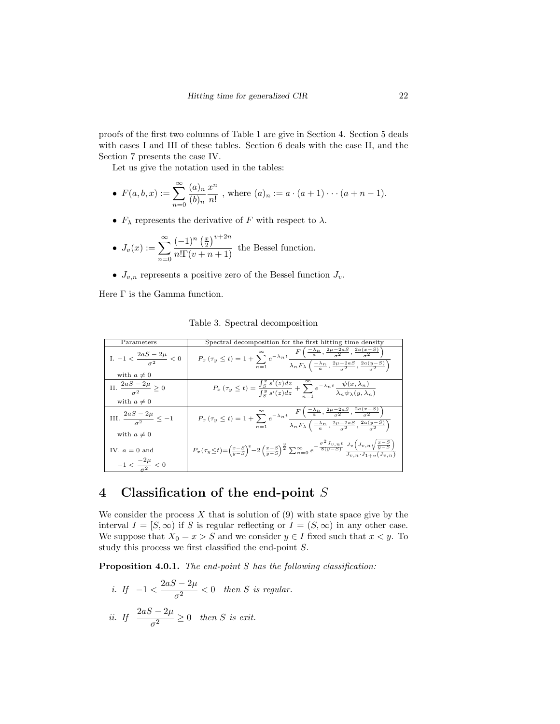proofs of the first two columns of Table 1 are give in Section 4. Section 5 deals with cases I and III of these tables. Section 6 deals with the case II, and the Section 7 presents the case IV.

Let us give the notation used in the tables:

• 
$$
F(a, b, x) := \sum_{n=0}^{\infty} \frac{(a)_n}{(b)_n} \frac{x^n}{n!}
$$
, where  $(a)_n := a \cdot (a+1) \cdots (a+n-1)$ .

•  $F_{\lambda}$  represents the derivative of F with respect to  $\lambda$ .

• 
$$
J_v(x) := \sum_{n=0}^{\infty} \frac{(-1)^n \left(\frac{x}{2}\right)^{v+2n}}{n! \Gamma(v+n+1)}
$$
 the Bessel function.

•  $J_{v,n}$  represents a positive zero of the Bessel function  $J_v$ .

Here  $\Gamma$  is the Gamma function.

Table 3. Spectral decomposition

| Parameters                                | Spectral decomposition for the first hitting time density                                                                                                                                                                                                                                  |
|-------------------------------------------|--------------------------------------------------------------------------------------------------------------------------------------------------------------------------------------------------------------------------------------------------------------------------------------------|
| I. $-1 < \frac{2aS - 2\mu}{\sigma^2} < 0$ | $P_x\left(\tau_y \leq t\right) = 1 + \sum_{n=1}^{\infty} e^{-\lambda_n t} \frac{F\left(\frac{-\lambda_n}{a}, \frac{2\mu - 2aS}{\sigma^2}, \frac{2a(x-S)}{\sigma^2}\right)}{\lambda_n F_{\lambda}\left(\frac{-\lambda_n}{a}, \frac{2\mu - 2aS}{\sigma^2}, \frac{2a(y-S)}{\sigma^2}\right)}$ |
| with $a \neq 0$                           |                                                                                                                                                                                                                                                                                            |
| II. $\frac{2aS - 2\mu}{a^2} \ge 0$        | $P_x(\tau_y \leq t) = \frac{\int_S^x s'(z) dz}{\int_S^y s'(z) dz} + \sum_{n=1}^{\infty} e^{-\lambda_n t} \frac{\psi(x, \lambda_n)}{\lambda_n \psi_{\lambda}(y, \lambda_n)}$                                                                                                                |
| with $a \neq 0$                           |                                                                                                                                                                                                                                                                                            |
| III. $\frac{2aS-2\mu}{2} \leq -1$         | $P_x\left(\tau_y \leq t\right) = 1 + \sum_{n=1}^\infty e^{-\lambda_n t} \frac{F\left(\frac{-\lambda_n}{a}, \frac{2\mu - 2aS}{\sigma^2}, \frac{2a(x-S)}{\sigma^2}\right)}{\lambda_n F_\lambda\left(\frac{-\lambda_n}{a}, \frac{2\mu - 2aS}{\sigma^2}, \frac{2a(y-S)}{\sigma^2}\right)}$     |
| with $a \neq 0$                           |                                                                                                                                                                                                                                                                                            |
| IV. $a = 0$ and                           | $P_x\left(\tau_y\leq t\right)=\left(\frac{x-S}{y-S}\right)^v-2\left(\frac{x-S}{y-S}\right)^{\frac{v}{2}}\sum_{n=0}^{\infty}e^{-\frac{\sigma^2Jv_nnt}{8(y-S)}}\frac{J_v\left(J_v,n\sqrt{\frac{x-S}{y-S}}\right)}{J_{v,n}\cdot J_{1+n}\left(J_v,n\right)}$                                   |
| $-1 < \frac{-2\mu}{2} < 0$                |                                                                                                                                                                                                                                                                                            |

#### 4 Classification of the end-point S

We consider the process  $X$  that is solution of  $(9)$  with state space give by the interval  $I = [S, \infty)$  if S is regular reflecting or  $I = (S, \infty)$  in any other case. We suppose that  $X_0 = x > S$  and we consider  $y \in I$  fixed such that  $x < y$ . To study this process we first classified the end-point S.

Proposition 4.0.1. The end-point S has the following classification:

i. If  $-1 < \frac{2aS - 2\mu}{2}$  $\frac{2\mu}{\sigma^2}$  < 0 then S is regular. ii. If  $\frac{2aS - 2\mu}{\sigma^2} \ge 0$  then S is exit.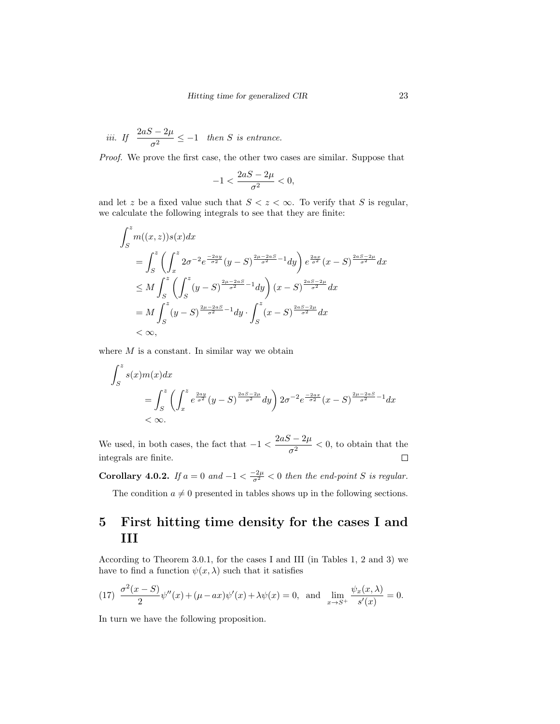iii. If 
$$
\frac{2aS - 2\mu}{\sigma^2} \le -1
$$
 then S is entrance.

Proof. We prove the first case, the other two cases are similar. Suppose that

$$
-1<\frac{2aS-2\mu}{\sigma^2}<0,
$$

and let z be a fixed value such that  $S < z < \infty$ . To verify that S is regular, we calculate the following integrals to see that they are finite:

$$
\int_{S}^{z} m((x, z))s(x)dx
$$
\n
$$
= \int_{S}^{z} \left( \int_{x}^{z} 2\sigma^{-2} e^{\frac{-2ay}{\sigma^{2}}} (y - S)^{\frac{2\mu - 2aS}{\sigma^{2}} - 1} dy \right) e^{\frac{2az}{\sigma^{2}}} (x - S)^{\frac{2aS - 2\mu}{\sigma^{2}}} dx
$$
\n
$$
\leq M \int_{S}^{z} \left( \int_{S}^{z} (y - S)^{\frac{2\mu - 2aS}{\sigma^{2}}} - 1 dy \right) (x - S)^{\frac{2aS - 2\mu}{\sigma^{2}}} dx
$$
\n
$$
= M \int_{S}^{z} (y - S)^{\frac{2\mu - 2aS}{\sigma^{2}}} - 1 dy \cdot \int_{S}^{z} (x - S)^{\frac{2aS - 2\mu}{\sigma^{2}}} dx
$$
\n
$$
< \infty,
$$

where  $M$  is a constant. In similar way we obtain

$$
\int_{S}^{z} s(x)m(x)dx
$$
\n
$$
= \int_{S}^{z} \left( \int_{x}^{z} e^{\frac{2ay}{\sigma^{2}}}(y-S)^{\frac{2aS-2\mu}{\sigma^{2}}}dy \right) 2\sigma^{-2} e^{\frac{-2ax}{\sigma^{2}}}(x-S)^{\frac{2\mu-2aS}{\sigma^{2}}-1}dx
$$
\n
$$
< \infty.
$$

We used, in both cases, the fact that  $-1 < \frac{2aS - 2\mu}{2}$  $\frac{2\mu}{\sigma^2}$  < 0, to obtain that the integrals are finite.  $\Box$ 

**Corollary 4.0.2.** If  $a = 0$  and  $-1 < \frac{-2\mu}{\sigma^2} < 0$  then the end-point S is regular.

The condition  $a \neq 0$  presented in tables shows up in the following sections.

## 5 First hitting time density for the cases I and III

According to Theorem 3.0.1, for the cases I and III (in Tables 1, 2 and 3) we have to find a function  $\psi(x, \lambda)$  such that it satisfies

(17) 
$$
\frac{\sigma^2(x - S)}{2} \psi''(x) + (\mu - ax)\psi'(x) + \lambda \psi(x) = 0, \text{ and } \lim_{x \to S^+} \frac{\psi_x(x, \lambda)}{s'(x)} = 0.
$$

In turn we have the following proposition.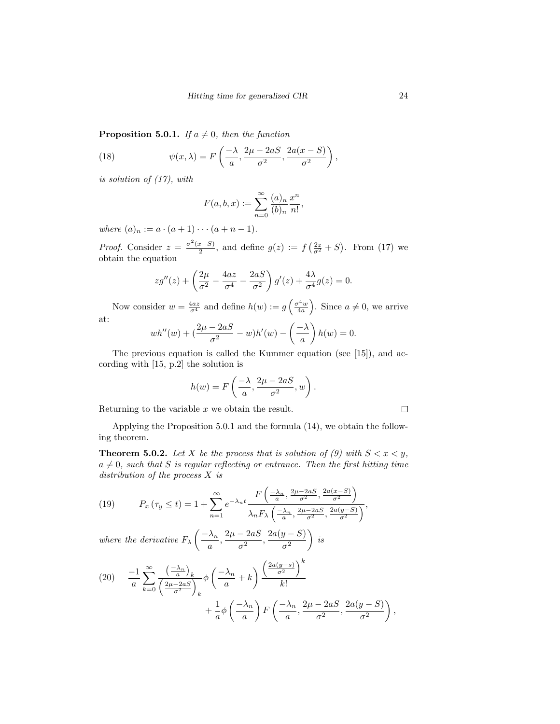**Proposition 5.0.1.** If  $a \neq 0$ , then the function

(18) 
$$
\psi(x,\lambda) = F\left(\frac{-\lambda}{a}, \frac{2\mu - 2aS}{\sigma^2}, \frac{2a(x-S)}{\sigma^2}\right),
$$

is solution of (17), with

$$
F(a,b,x):=\sum_{n=0}^\infty\frac{(a)_n}{(b)_n}\frac{x^n}{n!},
$$

where  $(a)_n := a \cdot (a+1) \cdot \cdot \cdot (a+n-1)$ .

*Proof.* Consider  $z = \frac{\sigma^2(x-S)}{2}$  $\frac{x-S}{2}$ , and define  $g(z) := f\left(\frac{2z}{\sigma^2} + S\right)$ . From (17) we obtain the equation

$$
zg''(z) + \left(\frac{2\mu}{\sigma^2} - \frac{4az}{\sigma^4} - \frac{2aS}{\sigma^2}\right)g'(z) + \frac{4\lambda}{\sigma^4}g(z) = 0.
$$

Now consider  $w = \frac{4az}{\sigma^4}$  and define  $h(w) := g\left(\frac{\sigma^4 w}{4a}\right)$ . Since  $a \neq 0$ , we arrive at:

$$
wh''(w) + \left(\frac{2\mu - 2aS}{\sigma^2} - w\right)h'(w) - \left(\frac{-\lambda}{a}\right)h(w) = 0.
$$

The previous equation is called the Kummer equation (see [15]), and according with [15, p.2] the solution is

$$
h(w) = F\left(\frac{-\lambda}{a}, \frac{2\mu - 2aS}{\sigma^2}, w\right).
$$

Returning to the variable  $x$  we obtain the result.

Applying the Proposition 5.0.1 and the formula (14), we obtain the following theorem.

**Theorem 5.0.2.** Let X be the process that is solution of (9) with  $S < x < y$ ,  $a \neq 0$ , such that S is regular reflecting or entrance. Then the first hitting time distribution of the process X is

(19) 
$$
P_x(\tau_y \le t) = 1 + \sum_{n=1}^{\infty} e^{-\lambda_n t} \frac{F\left(\frac{-\lambda_n}{a}, \frac{2\mu - 2aS}{\sigma^2}, \frac{2a(x-S)}{\sigma^2}\right)}{\lambda_n F_{\lambda}\left(\frac{-\lambda_n}{a}, \frac{2\mu - 2aS}{\sigma^2}, \frac{2a(y-S)}{\sigma^2}\right)},
$$

where the derivative  $F_{\lambda} \left( \frac{-\lambda_n}{\lambda_n} \right)$  $\frac{\lambda_n}{a}, \frac{2\mu - 2aS}{\sigma^2}$  $\frac{(-2aS)}{\sigma^2}, \frac{2a(y-S)}{\sigma^2}$  $\sigma^2$  $\bigg\}$  is

$$
(20) \quad \frac{-1}{a} \sum_{k=0}^{\infty} \frac{\left(\frac{-\lambda_n}{a}\right)_k}{\left(\frac{2\mu - 2aS}{\sigma^2}\right)_k} \phi \left(\frac{-\lambda_n}{a} + k\right) \frac{\left(\frac{2a(y-s)}{\sigma^2}\right)^k}{k!} + \frac{1}{a} \phi \left(\frac{-\lambda_n}{a}\right) F \left(\frac{-\lambda_n}{a}, \frac{2\mu - 2aS}{\sigma^2}, \frac{2a(y-S)}{\sigma^2}\right),
$$

 $\Box$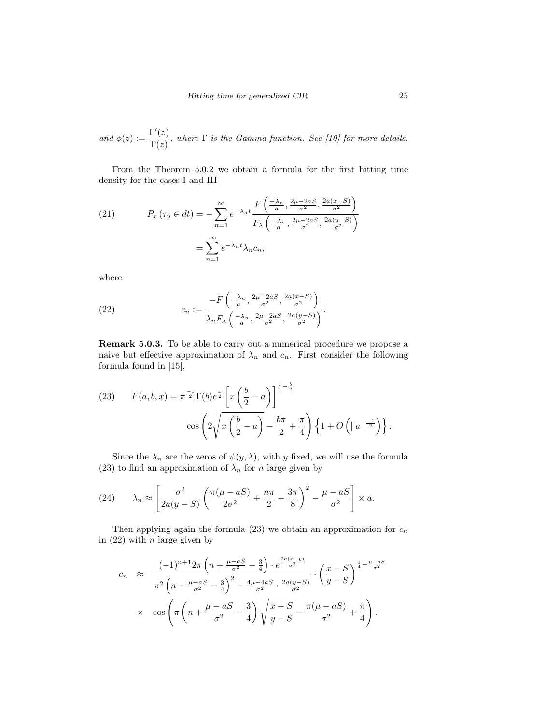and  $\phi(z) := \frac{\Gamma'(z)}{\Gamma(z)}$  $\frac{\Gamma(\infty)}{\Gamma(z)}$ , where  $\Gamma$  is the Gamma function. See [10] for more details.

From the Theorem 5.0.2 we obtain a formula for the first hitting time density for the cases I and III

(21) 
$$
P_x(\tau_y \in dt) = -\sum_{n=1}^{\infty} e^{-\lambda_n t} \frac{F\left(\frac{-\lambda_n}{a}, \frac{2\mu - 2aS}{\sigma^2}, \frac{2a(x-S)}{\sigma^2}\right)}{F_{\lambda}\left(\frac{-\lambda_n}{a}, \frac{2\mu - 2aS}{\sigma^2}, \frac{2a(y-S)}{\sigma^2}\right)}
$$

$$
= \sum_{n=1}^{\infty} e^{-\lambda_n t} \lambda_n c_n,
$$

where

(22) 
$$
c_n := \frac{-F\left(\frac{-\lambda_n}{a}, \frac{2\mu - 2aS}{\sigma^2}, \frac{2a(x-S)}{\sigma^2}\right)}{\lambda_n F_\lambda \left(\frac{-\lambda_n}{a}, \frac{2\mu - 2aS}{\sigma^2}, \frac{2a(y-S)}{\sigma^2}\right)}.
$$

Remark 5.0.3. To be able to carry out a numerical procedure we propose a naive but effective approximation of  $\lambda_n$  and  $c_n$ . First consider the following formula found in [15],

(23) 
$$
F(a,b,x) = \pi^{\frac{-1}{2}} \Gamma(b) e^{\frac{x}{2}} \left[ x \left( \frac{b}{2} - a \right) \right]^{\frac{1}{4} - \frac{b}{2}} \cos \left( 2 \sqrt{x \left( \frac{b}{2} - a \right)} - \frac{b \pi}{2} + \frac{\pi}{4} \right) \left\{ 1 + O\left( |a|^{\frac{-1}{2}} \right) \right\}.
$$

Since the  $\lambda_n$  are the zeros of  $\psi(y, \lambda)$ , with y fixed, we will use the formula (23) to find an approximation of  $\lambda_n$  for n large given by

(24) 
$$
\lambda_n \approx \left[ \frac{\sigma^2}{2a(y-S)} \left( \frac{\pi(\mu-aS)}{2\sigma^2} + \frac{n\pi}{2} - \frac{3\pi}{8} \right)^2 - \frac{\mu-aS}{\sigma^2} \right] \times a.
$$

Then applying again the formula  $(23)$  we obtain an approximation for  $c_n$ in  $(22)$  with *n* large given by

$$
c_n \approx \frac{(-1)^{n+1} 2\pi \left( n + \frac{\mu - aS}{\sigma^2} - \frac{3}{4} \right) \cdot e^{\frac{2a(x-y)}{\sigma^2}}}{\pi^2 \left( n + \frac{\mu - aS}{\sigma^2} - \frac{3}{4} \right)^2 - \frac{4\mu - 4aS}{\sigma^2} \cdot \frac{2a(y-S)}{\sigma^2}} \cdot \left( \frac{x-S}{y-S} \right)^{\frac{1}{4} - \frac{\mu - aS}{\sigma^2}} \times \cos \left( \pi \left( n + \frac{\mu - aS}{\sigma^2} - \frac{3}{4} \right) \sqrt{\frac{x-S}{y-S}} - \frac{\pi(\mu - aS)}{\sigma^2} + \frac{\pi}{4} \right).
$$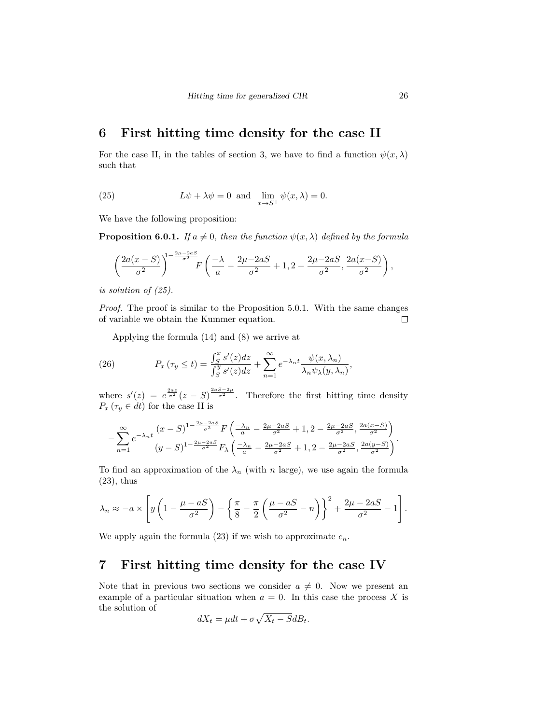#### 6 First hitting time density for the case II

For the case II, in the tables of section 3, we have to find a function  $\psi(x, \lambda)$ such that

(25) 
$$
L\psi + \lambda \psi = 0 \text{ and } \lim_{x \to S^+} \psi(x, \lambda) = 0.
$$

We have the following proposition:

**Proposition 6.0.1.** If  $a \neq 0$ , then the function  $\psi(x, \lambda)$  defined by the formula

$$
\left(\frac{2a(x-S)}{\sigma^2}\right)^{1-\frac{2\mu-2aS}{\sigma^2}}F\left(\frac{-\lambda}{a}-\frac{2\mu-2aS}{\sigma^2}+1,2-\frac{2\mu-2aS}{\sigma^2},\frac{2a(x-S)}{\sigma^2}\right),\,
$$

is solution of (25).

Proof. The proof is similar to the Proposition 5.0.1. With the same changes of variable we obtain the Kummer equation.  $\Box$ 

Applying the formula (14) and (8) we arrive at

(26) 
$$
P_x(\tau_y \le t) = \frac{\int_S^x s'(z) dz}{\int_S^y s'(z) dz} + \sum_{n=1}^\infty e^{-\lambda_n t} \frac{\psi(x, \lambda_n)}{\lambda_n \psi_\lambda(y, \lambda_n)},
$$

where  $s'(z) = e^{\frac{2az}{\sigma^2}}(z-S)^{\frac{2aS-2\mu}{\sigma^2}}$ . Therefore the first hitting time density  $P_x(\tau_y \in dt)$  for the case II is

$$
-\sum_{n=1}^{\infty} e^{-\lambda_n t} \frac{(x-S)^{1-\frac{2\mu-2aS}{\sigma^2}} F\left(\frac{-\lambda_n}{a} - \frac{2\mu-2aS}{\sigma^2} + 1, 2 - \frac{2\mu-2aS}{\sigma^2}, \frac{2a(x-S)}{\sigma^2}\right)}{(y-S)^{1-\frac{2\mu-2aS}{\sigma^2}} F_{\lambda}\left(\frac{-\lambda_n}{a} - \frac{2\mu-2aS}{\sigma^2} + 1, 2 - \frac{2\mu-2aS}{\sigma^2}, \frac{2a(y-S)}{\sigma^2}\right)}.
$$

To find an approximation of the  $\lambda_n$  (with n large), we use again the formula (23), thus

$$
\lambda_n \approx -a \times \left[ y \left( 1 - \frac{\mu - aS}{\sigma^2} \right) - \left\{ \frac{\pi}{8} - \frac{\pi}{2} \left( \frac{\mu - aS}{\sigma^2} - n \right) \right\}^2 + \frac{2\mu - 2aS}{\sigma^2} - 1 \right].
$$

We apply again the formula (23) if we wish to approximate  $c_n$ .

### 7 First hitting time density for the case IV

Note that in previous two sections we consider  $a \neq 0$ . Now we present an example of a particular situation when  $a = 0$ . In this case the process X is the solution of

$$
dX_t = \mu dt + \sigma \sqrt{X_t - S} dB_t.
$$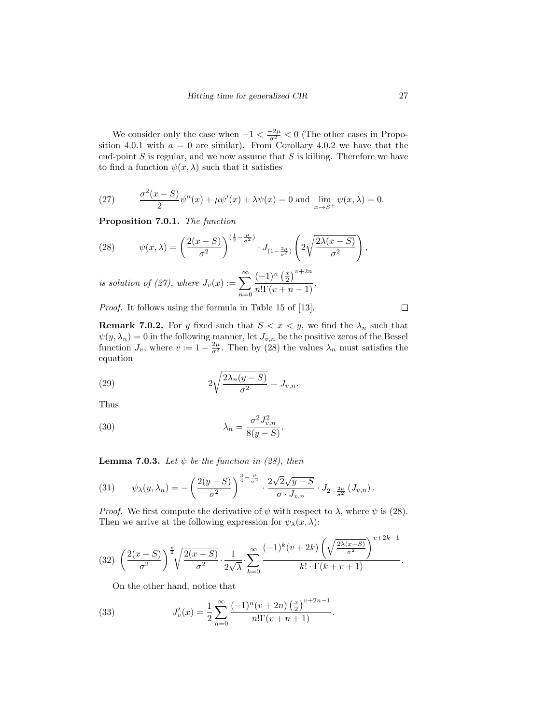We consider only the case when  $-1 < \frac{-2\mu}{\sigma^2} < 0$  (The other cases in Proposition 4.0.1 with  $a = 0$  are similar). From Corollary 4.0.2 we have that the end-point  $S$  is regular, and we now assume that  $S$  is killing. Therefore we have to find a function  $\psi(x, \lambda)$  such that it satisfies

(27) 
$$
\frac{\sigma^2(x-S)}{2}\psi''(x) + \mu\psi'(x) + \lambda\psi(x) = 0 \text{ and } \lim_{x \to S^+} \psi(x,\lambda) = 0.
$$

Proposition 7.0.1. The function

(28) 
$$
\psi(x,\lambda) = \left(\frac{2(x-S)}{\sigma^2}\right)^{\left(\frac{1}{2}-\frac{\mu}{\sigma^2}\right)} \cdot J_{\left(1-\frac{2\mu}{\sigma^2}\right)}\left(2\sqrt{\frac{2\lambda(x-S)}{\sigma^2}}\right),
$$

is solution of (27), where  $J_v(x) := \sum_{n=0}^{\infty}$  $n=0$  $(-1)^n \left(\frac{x}{2}\right)^{v+2n}$  $\frac{(2)}{n!\Gamma(\nu+n+1)}$ .

Proof. It follows using the formula in Table 15 of [13].

**Remark 7.0.2.** For y fixed such that  $S < x < y$ , we find the  $\lambda_n$  such that  $\psi(y, \lambda_n) = 0$  in the following manner, let  $J_{v,n}$  be the positive zeros of the Bessel function  $J_v$ , where  $v := 1 - \frac{2\mu}{\sigma^2}$ . Then by (28) the values  $\lambda_n$  must satisfies the equation

(29) 
$$
2\sqrt{\frac{2\lambda_n(y-S)}{\sigma^2}} = J_{v,n}.
$$

Thus

(30) 
$$
\lambda_n = \frac{\sigma^2 J_{v,n}^2}{8(y-S)}.
$$

**Lemma 7.0.3.** Let  $\psi$  be the function in (28), then

(31) 
$$
\psi_{\lambda}(y,\lambda_n) = -\left(\frac{2(y-S)}{\sigma^2}\right)^{\frac{3}{4}-\frac{\mu}{\sigma^2}} \cdot \frac{2\sqrt{2}\sqrt{y-S}}{\sigma \cdot J_{v,n}} \cdot J_{2-\frac{2\mu}{\sigma^2}}(J_{v,n}).
$$

*Proof.* We first compute the derivative of  $\psi$  with respect to  $\lambda$ , where  $\psi$  is (28). Then we arrive at the following expression for  $\psi_{\lambda}(x,\lambda)$ :

 $\mathbf{u}$ 

$$
(32)\ \left(\frac{2(x-S)}{\sigma^2}\right)^{\frac{v}{2}}\sqrt{\frac{2(x-S)}{\sigma^2}}\cdot\frac{1}{2\sqrt{\lambda}}\cdot\sum_{k=0}^{\infty}\frac{(-1)^k(v+2k)\left(\sqrt{\frac{2\lambda(x-S)}{\sigma^2}}\right)^{v+2k-1}}{k!\cdot\Gamma(k+v+1)}.
$$

On the other hand, notice that

(33) 
$$
J'_v(x) = \frac{1}{2} \sum_{n=0}^{\infty} \frac{(-1)^n (v+2n) \left(\frac{x}{2}\right)^{v+2n-1}}{n! \Gamma(v+n+1)}.
$$

 $\Box$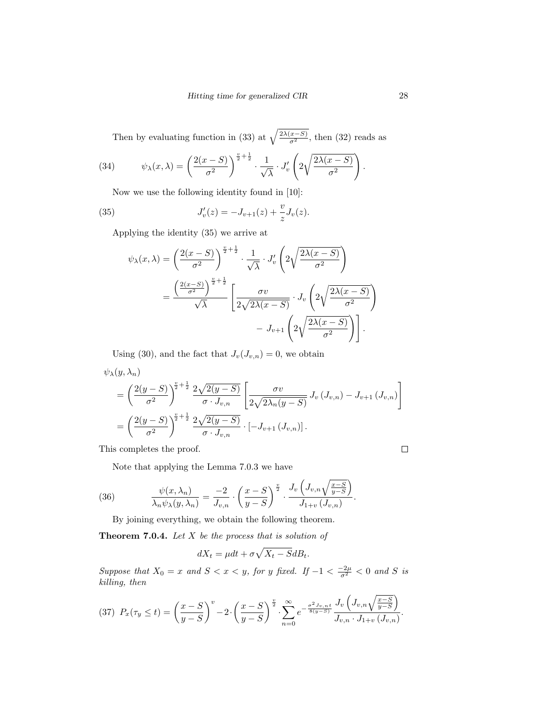Then by evaluating function in (33) at  $\sqrt{\frac{2\lambda(x-S)}{\sigma^2}}$ , then (32) reads as

(34) 
$$
\psi_{\lambda}(x,\lambda) = \left(\frac{2(x-S)}{\sigma^2}\right)^{\frac{v}{2}+\frac{1}{2}} \cdot \frac{1}{\sqrt{\lambda}} \cdot J_v' \left(2\sqrt{\frac{2\lambda(x-S)}{\sigma^2}}\right).
$$

Now we use the following identity found in [10]:

(35) 
$$
J'_v(z) = -J_{v+1}(z) + \frac{v}{z}J_v(z).
$$

Applying the identity (35) we arrive at

$$
\psi_{\lambda}(x,\lambda) = \left(\frac{2(x-S)}{\sigma^2}\right)^{\frac{v}{2}+\frac{1}{2}} \cdot \frac{1}{\sqrt{\lambda}} \cdot J_v' \left(2\sqrt{\frac{2\lambda(x-S)}{\sigma^2}}\right)
$$

$$
= \frac{\left(\frac{2(x-S)}{\sigma^2}\right)^{\frac{v}{2}+\frac{1}{2}}}{\sqrt{\lambda}} \left[\frac{\sigma v}{2\sqrt{2\lambda(x-S)}} \cdot J_v \left(2\sqrt{\frac{2\lambda(x-S)}{\sigma^2}}\right) - J_{v+1} \left(2\sqrt{\frac{2\lambda(x-S)}{\sigma^2}}\right)\right].
$$

Using (30), and the fact that  $J_v(J_{v,n}) = 0$ , we obtain

$$
\psi_{\lambda}(y,\lambda_n)
$$
\n
$$
= \left(\frac{2(y-S)}{\sigma^2}\right)^{\frac{v}{2}+\frac{1}{2}} \frac{2\sqrt{2(y-S)}}{\sigma \cdot J_{v,n}} \left[\frac{\sigma v}{2\sqrt{2\lambda_n(y-S)}} J_v (J_{v,n}) - J_{v+1} (J_{v,n})\right]
$$
\n
$$
= \left(\frac{2(y-S)}{\sigma^2}\right)^{\frac{v}{2}+\frac{1}{2}} \frac{2\sqrt{2(y-S)}}{\sigma \cdot J_{v,n}} \cdot [-J_{v+1} (J_{v,n})].
$$

This completes the proof.

Note that applying the Lemma 7.0.3 we have

(36) 
$$
\frac{\psi(x,\lambda_n)}{\lambda_n \psi_\lambda(y,\lambda_n)} = \frac{-2}{J_{v,n}} \cdot \left(\frac{x-S}{y-S}\right)^{\frac{v}{2}} \cdot \frac{J_v\left(J_{v,n}\sqrt{\frac{x-S}{y-S}}\right)}{J_{1+v}\left(J_{v,n}\right)}.
$$

By joining everything, we obtain the following theorem.

**Theorem 7.0.4.** Let  $X$  be the process that is solution of

$$
dX_t = \mu dt + \sigma \sqrt{X_t - S} dB_t.
$$

Suppose that  $X_0 = x$  and  $S < x < y$ , for y fixed. If  $-1 < \frac{-2\mu}{\sigma^2} < 0$  and S is killing, then

$$
(37) \ \ P_x(\tau_y \le t) = \left(\frac{x-S}{y-S}\right)^v - 2 \cdot \left(\frac{x-S}{y-S}\right)^{\frac{v}{2}} \cdot \sum_{n=0}^{\infty} e^{-\frac{\sigma^2 J_{v,n}t}{8(y-S)}} \frac{J_v\left(J_{v,n}\sqrt{\frac{x-S}{y-S}}\right)}{J_{v,n} \cdot J_{1+v}\left(J_{v,n}\right)}.
$$

 $\Box$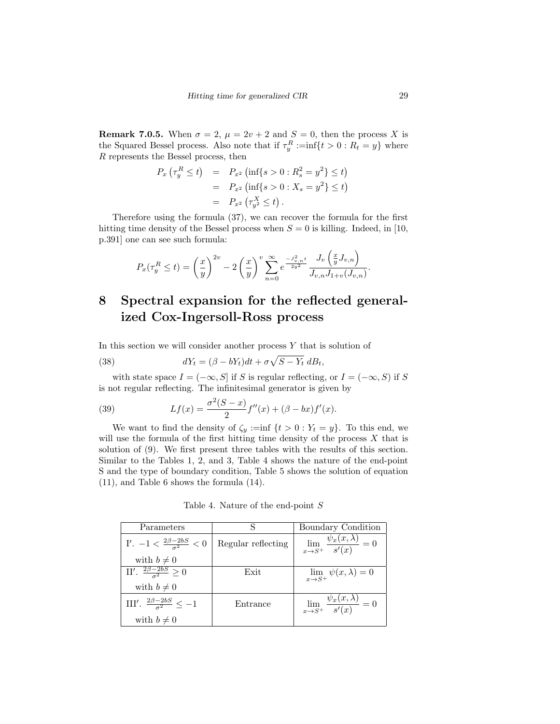**Remark 7.0.5.** When  $\sigma = 2$ ,  $\mu = 2v + 2$  and  $S = 0$ , then the process X is the Squared Bessel process. Also note that if  $\tau_y^R := \inf\{t > 0 : R_t = y\}$  where R represents the Bessel process, then

$$
P_x \left( \tau_y^R \le t \right) = P_{x^2} \left( \inf \{ s > 0 : R_s^2 = y^2 \} \le t \right)
$$
  
= 
$$
P_{x^2} \left( \inf \{ s > 0 : X_s = y^2 \} \le t \right)
$$
  
= 
$$
P_{x^2} \left( \tau_{y^2}^X \le t \right).
$$

Therefore using the formula (37), we can recover the formula for the first hitting time density of the Bessel process when  $S = 0$  is killing. Indeed, in [10,] p.391] one can see such formula:

$$
P_x(\tau_y^R \le t) = \left(\frac{x}{y}\right)^{2v} - 2\left(\frac{x}{y}\right)^v \sum_{n=0}^{\infty} e^{\frac{-J_{v,n}^2 t}{2y^2}} \frac{J_v\left(\frac{x}{y}J_{v,n}\right)}{J_{v,n}J_{1+v}(J_{v,n})}.
$$

## 8 Spectral expansion for the reflected generalized Cox-Ingersoll-Ross process

In this section we will consider another process  $Y$  that is solution of

(38) 
$$
dY_t = (\beta - bY_t)dt + \sigma\sqrt{S - Y_t} dB_t,
$$

with state space  $I = (-\infty, S]$  if S is regular reflecting, or  $I = (-\infty, S)$  if S is not regular reflecting. The infinitesimal generator is given by

(39) 
$$
Lf(x) = \frac{\sigma^2(S-x)}{2}f''(x) + (\beta - bx)f'(x).
$$

We want to find the density of  $\zeta_y := \inf \{ t > 0 : Y_t = y \}.$  To this end, we will use the formula of the first hitting time density of the process X that is solution of (9). We first present three tables with the results of this section. Similar to the Tables 1, 2, and 3, Table 4 shows the nature of the end-point S and the type of boundary condition, Table 5 shows the solution of equation (11), and Table 6 shows the formula (14).

| Parameters                                   | S                  | Boundary Condition                                       |
|----------------------------------------------|--------------------|----------------------------------------------------------|
| I'. $-1 < \frac{2\beta - 2bS}{\sigma^2} < 0$ | Regular reflecting | $\lim_{x\to S^+}\frac{\psi_x(x,\lambda)}{s'(x)}=0$       |
| with $b \neq 0$                              |                    |                                                          |
| II'. $\frac{2\beta-2bS}{\sigma^2}\geq 0$     | Exit               | $\lim_{x\to S^+}\psi(x,\lambda)=0$                       |
| with $b \neq 0$                              |                    |                                                          |
| III'. $\frac{2\beta-2bS}{\sigma^2} \leq -1$  | Entrance           | $\lim_{x\to S^+}\frac{\psi_x(x,\lambda)}{s^\prime(x)}=0$ |
| with $b \neq 0$                              |                    |                                                          |

Table 4. Nature of the end-point S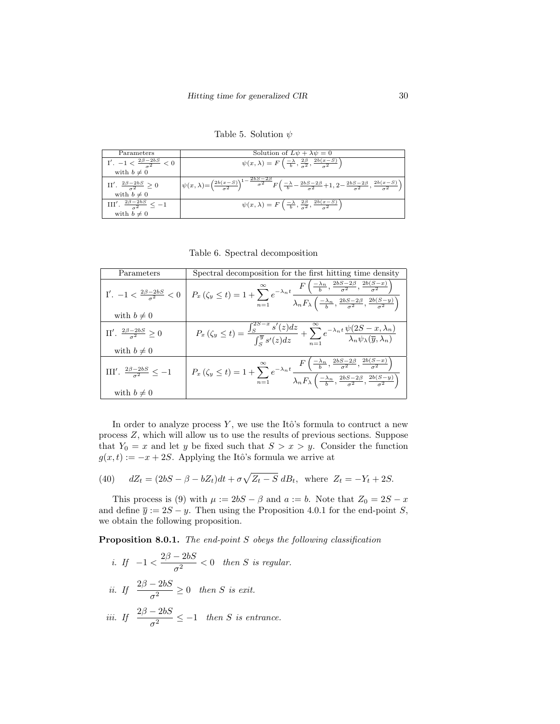| Parameters                                   | Solution of $L\psi + \lambda \psi = 0$                                                                                                                                                                                               |
|----------------------------------------------|--------------------------------------------------------------------------------------------------------------------------------------------------------------------------------------------------------------------------------------|
| I'. $-1 < \frac{2\beta - 2bS}{\sigma^2} < 0$ | $\psi(x,\lambda) = F\left(\frac{-\lambda}{b}, \frac{2\beta}{\sigma^2}, \frac{2b(x-S)}{\sigma^2}\right)$                                                                                                                              |
| with $b \neq 0$                              |                                                                                                                                                                                                                                      |
| II'. $\frac{2\beta-2bS}{\sigma^2} \geq 0$    | $\left \psi(x,\lambda) = \left(\frac{2b(x-S)}{\sigma^2}\right)^{1-\frac{2bS-2\beta}{\sigma^2}} F\left(\frac{-\lambda}{b} - \frac{2bS-2\beta}{\sigma^2} + 1, 2 - \frac{2bS-2\beta}{\sigma^2}, \frac{2b(x-S)}{\sigma^2}\right)\right $ |
| with $b \neq 0$                              |                                                                                                                                                                                                                                      |
| III'. $\frac{2\beta-2bS}{\sigma^2} \leq -1$  | $\psi(x,\lambda)=F\left(\frac{-\lambda}{b},\frac{2\beta}{\sigma^2},\frac{2b(x-S)}{\sigma^2}\right)$                                                                                                                                  |
| with $b \neq 0$                              |                                                                                                                                                                                                                                      |

Table 5. Solution  $\psi$ 

Table 6. Spectral decomposition

| Parameters                           | Spectral decomposition for the first hitting time density                                                                                                                                                                                                                                                                                                                           |
|--------------------------------------|-------------------------------------------------------------------------------------------------------------------------------------------------------------------------------------------------------------------------------------------------------------------------------------------------------------------------------------------------------------------------------------|
|                                      |                                                                                                                                                                                                                                                                                                                                                                                     |
|                                      | $\mathcal{I}'\textnormal{. } -1<\tfrac{2\beta-2bS}{\sigma^2}<0 \textnormal{ } \Bigg \textnormal{ } P_x\left( \zeta_y\leq t\right)=1+\sum_{n=1}^{\infty}e^{-\lambda_nt}\frac{F\left( \frac{-\lambda_n}{b},\frac{2bS-2\beta}{\sigma^2},\frac{2b(S-x)}{\sigma^2}\right)}{\lambda_nF_{\lambda}\left( \frac{-\lambda_n}{b},\frac{2bS-2\beta}{\sigma^2},\frac{2b(S-y)}{\sigma^2}\right)}$ |
| with $b \neq 0$                      |                                                                                                                                                                                                                                                                                                                                                                                     |
| II'. $\frac{2\beta-2bS}{a^2}\geq 0$  | $P_x(\zeta_y \leq t) = \frac{\int_S^{2S-x} s'(z) dz}{\int_S^{\overline{y}} s'(z) dz} + \sum_{n=1}^{\infty} e^{-\lambda_n t} \frac{\psi(2S-x, \lambda_n)}{\lambda_n \psi_{\lambda}(\overline{y}, \lambda_n)}$                                                                                                                                                                        |
| with $b \neq 0$                      |                                                                                                                                                                                                                                                                                                                                                                                     |
| III'. $\frac{2\beta-2bS}{2} \leq -1$ | $P_x\left( \zeta_y \leq t\right) = 1 + \sum_{n=1}^{\infty} e^{-\lambda_n t} \frac{F\left( \frac{-\lambda_n}{b}, \frac{2bS-2\beta}{\sigma^2}, \frac{2b(S-x)}{\sigma^2} \right)}{\lambda_n F_{\lambda}\left( \frac{-\lambda_n}{b}, \frac{2bS-2\beta}{\sigma^2}, \frac{2b(S-y)}{\sigma^2} \right)}$                                                                                    |
| with $b \neq 0$                      |                                                                                                                                                                                                                                                                                                                                                                                     |

In order to analyze process  $Y$ , we use the Itô's formula to contruct a new process Z, which will allow us to use the results of previous sections. Suppose that  $Y_0 = x$  and let y be fixed such that  $S > x > y$ . Consider the function  $g(x, t) := -x + 2S$ . Applying the Itô's formula we arrive at

(40) 
$$
dZ_t = (2bS - \beta - bZ_t)dt + \sigma \sqrt{Z_t - S} dB_t, \text{ where } Z_t = -Y_t + 2S.
$$

This process is (9) with  $\mu := 2bS - \beta$  and  $a := b$ . Note that  $Z_0 = 2S - x$ and define  $\overline{y} := 2S - y$ . Then using the Proposition 4.0.1 for the end-point S, we obtain the following proposition.

**Proposition 8.0.1.** The end-point S obeys the following classification

i. If  $-1 < \frac{2\beta - 2bS}{2}$  $\frac{200}{\sigma^2}$  < 0 then S is regular. ii. If  $\frac{2\beta - 2bS}{\sigma^2} \ge 0$  then S is exit. iii. If  $\frac{2\beta - 2bS}{\sigma^2} \le -1$  then S is entrance.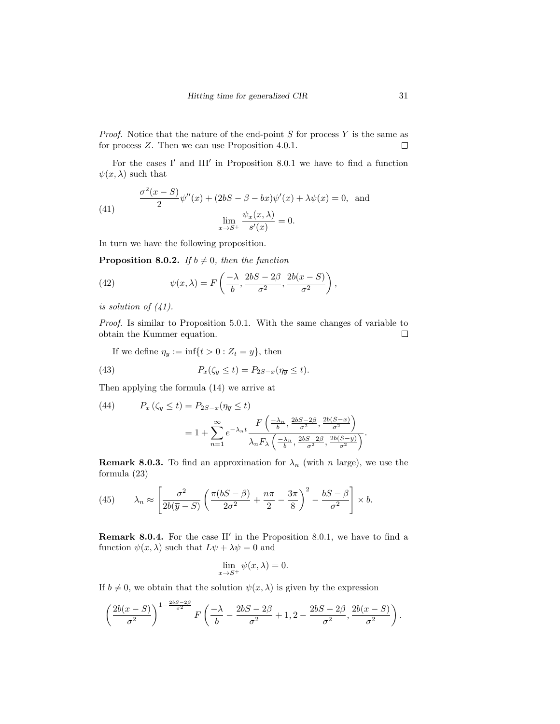*Proof.* Notice that the nature of the end-point  $S$  for process  $Y$  is the same as for process Z. Then we can use Proposition 4.0.1.  $\Box$ 

For the cases  $I'$  and  $III'$  in Proposition 8.0.1 we have to find a function  $\psi(x, \lambda)$  such that

(41) 
$$
\frac{\sigma^{2}(x-S)}{2}\psi''(x) + (2bS - \beta - bx)\psi'(x) + \lambda\psi(x) = 0, \text{ and}
$$

$$
\lim_{x \to S^{+}} \frac{\psi_{x}(x,\lambda)}{s'(x)} = 0.
$$

In turn we have the following proposition.

**Proposition 8.0.2.** If  $b \neq 0$ , then the function

(42) 
$$
\psi(x,\lambda) = F\left(\frac{-\lambda}{b}, \frac{2bS - 2\beta}{\sigma^2}, \frac{2b(x - S)}{\sigma^2}\right),
$$

is solution of  $(41)$ .

Proof. Is similar to Proposition 5.0.1. With the same changes of variable to obtain the Kummer equation.  $\Box$ 

If we define  $\eta_y := \inf\{t > 0 : Z_t = y\}$ , then

(43) 
$$
P_x(\zeta_y \le t) = P_{2S-x}(\eta_{\overline{y}} \le t).
$$

Then applying the formula (14) we arrive at

(44) 
$$
P_x(\zeta_y \le t) = P_{2S-x}(\eta_{\overline{y}} \le t)
$$

$$
= 1 + \sum_{n=1}^{\infty} e^{-\lambda_n t} \frac{F\left(\frac{-\lambda_n}{b}, \frac{2bS-2\beta}{\sigma^2}, \frac{2b(S-x)}{\sigma^2}\right)}{\lambda_n F_{\lambda}\left(\frac{-\lambda_n}{b}, \frac{2bS-2\beta}{\sigma^2}, \frac{2b(S-y)}{\sigma^2}\right)}.
$$

**Remark 8.0.3.** To find an approximation for  $\lambda_n$  (with n large), we use the formula (23)

(45) 
$$
\lambda_n \approx \left[ \frac{\sigma^2}{2b(\overline{y} - S)} \left( \frac{\pi (bS - \beta)}{2\sigma^2} + \frac{n\pi}{2} - \frac{3\pi}{8} \right)^2 - \frac{bS - \beta}{\sigma^2} \right] \times b.
$$

Remark 8.0.4. For the case II' in the Proposition 8.0.1, we have to find a function  $\psi(x, \lambda)$  such that  $L\psi + \lambda \psi = 0$  and

$$
\lim_{x \to S^+} \psi(x, \lambda) = 0.
$$

If  $b \neq 0$ , we obtain that the solution  $\psi(x, \lambda)$  is given by the expression

$$
\left(\frac{2b(x-S)}{\sigma^2}\right)^{1-\frac{2bS-2\beta}{\sigma^2}} F\left(\frac{-\lambda}{b}-\frac{2bS-2\beta}{\sigma^2}+1,2-\frac{2bS-2\beta}{\sigma^2},\frac{2b(x-S)}{\sigma^2}\right).
$$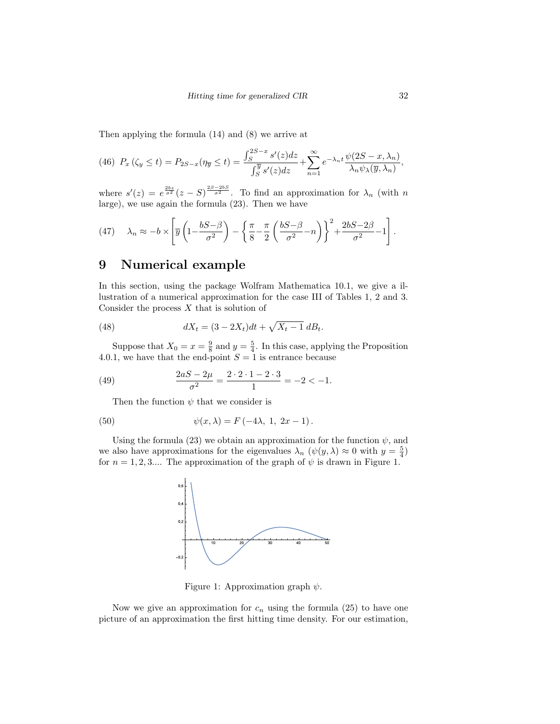Then applying the formula (14) and (8) we arrive at

$$
(46)\ \ P_x\left(\zeta_y\leq t\right)=P_{2S-x}(\eta_{\overline{y}}\leq t)=\frac{\int_S^{2S-x} s'(z)dz}{\int_S^{\overline{y}} s'(z)dz}+\sum_{n=1}^\infty e^{-\lambda_n t} \frac{\psi(2S-x,\lambda_n)}{\lambda_n \psi_\lambda(\overline{y},\lambda_n)},
$$

where  $s'(z) = e^{\frac{2bz}{\sigma^2}}(z-S)^{\frac{2\beta-2bS}{\sigma^2}}$ . To find an approximation for  $\lambda_n$  (with n large), we use again the formula (23). Then we have

(47) 
$$
\lambda_n \approx -b \times \left[ \overline{y} \left( 1 - \frac{bS - \beta}{\sigma^2} \right) - \left\{ \frac{\pi}{8} - \frac{\pi}{2} \left( \frac{bS - \beta}{\sigma^2} - n \right) \right\}^2 + \frac{2bS - 2\beta}{\sigma^2} - 1 \right].
$$

### 9 Numerical example

In this section, using the package Wolfram Mathematica 10.1, we give a illustration of a numerical approximation for the case III of Tables 1, 2 and 3. Consider the process  $X$  that is solution of

(48) 
$$
dX_t = (3 - 2X_t)dt + \sqrt{X_t - 1} dB_t.
$$

Suppose that  $X_0 = x = \frac{9}{8}$  and  $y = \frac{5}{4}$ . In this case, applying the Proposition 4.0.1, we have that the end-point  $S = \overline{1}$  is entrance because

(49) 
$$
\frac{2aS - 2\mu}{\sigma^2} = \frac{2 \cdot 2 \cdot 1 - 2 \cdot 3}{1} = -2 < -1.
$$

Then the function  $\psi$  that we consider is

(50) 
$$
\psi(x,\lambda) = F(-4\lambda, 1, 2x - 1).
$$

Using the formula (23) we obtain an approximation for the function  $\psi$ , and we also have approximations for the eigenvalues  $\lambda_n$   $(\psi(y, \lambda) \approx 0$  with  $y = \frac{5}{4}$ ) for  $n = 1, 2, 3...$  The approximation of the graph of  $\psi$  is drawn in Figure 1.



Figure 1: Approximation graph  $\psi$ .

Now we give an approximation for  $c_n$  using the formula (25) to have one picture of an approximation the first hitting time density. For our estimation,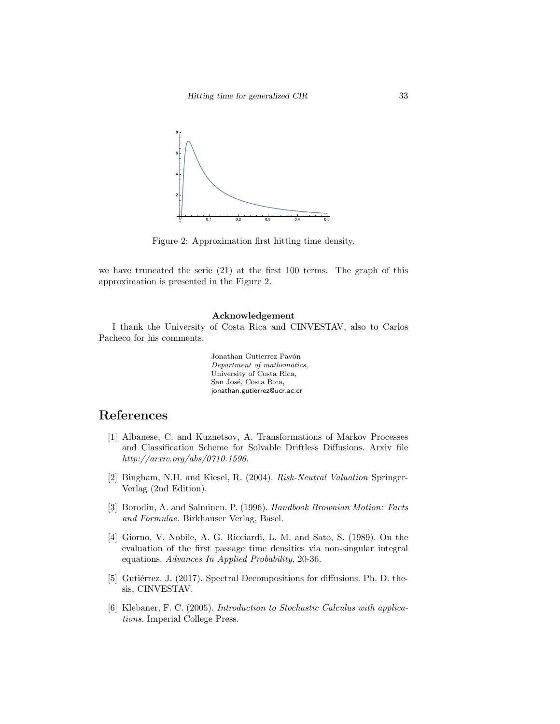

Figure 2: Approximation first hitting time density.

we have truncated the serie (21) at the first 100 terms. The graph of this approximation is presented in the Figure 2.

#### Acknowledgement

I thank the University of Costa Rica and CINVESTAV, also to Carlos Pacheco for his comments.

> Jonathan Gutierrez Pavón Department of mathematics, University of Costa Rica, San José, Costa Rica, jonathan.gutierrez@ucr.ac.cr

#### References

- [1] Albanese, C. and Kuznetsov, A. Transformations of Markov Processes and Classification Scheme for Solvable Driftless Diffusions. Arxiv file http://arxiv.org/abs/0710.1596.
- [2] Bingham, N.H. and Kiesel, R. (2004). Risk-Neutral Valuation Springer-Verlag (2nd Edition).
- [3] Borodin, A. and Salminen, P. (1996). Handbook Brownian Motion: Facts and Formulae. Birkhauser Verlag, Basel.
- [4] Giorno, V. Nobile, A. G. Ricciardi, L. M. and Sato, S. (1989). On the evaluation of the first passage time densities via non-singular integral equations. Advances In Applied Probability, 20-36.
- [5] Gutiérrez, J. (2017). Spectral Decompositions for diffusions. Ph. D. thesis, CINVESTAV.
- [6] Klebaner, F. C. (2005). Introduction to Stochastic Calculus with applications. Imperial College Press.